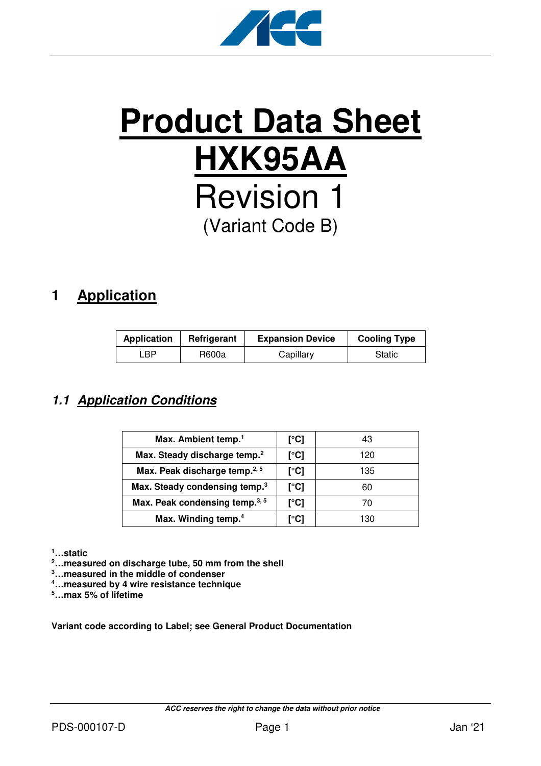

# **Product Data Sheet HXK95AA** Revision 1 (Variant Code B)

# **1 Application**

| <b>Application</b> | Refrigerant | <b>Expansion Device</b> | <b>Cooling Type</b> |
|--------------------|-------------|-------------------------|---------------------|
| ∟BP.               | R600a       | Capillary               | Static              |

## **1.1 Application Conditions**

| Max. Ambient temp. <sup>1</sup>           | [°C] | 43  |
|-------------------------------------------|------|-----|
| Max. Steady discharge temp. <sup>2</sup>  | [°C] | 120 |
| Max. Peak discharge temp. <sup>2, 5</sup> | [°C] | 135 |
| Max. Steady condensing temp. <sup>3</sup> | [°C] | 60  |
| Max. Peak condensing temp. <sup>3,5</sup> | [°C] | 70  |
| Max. Winding temp. <sup>4</sup>           | r°C1 | 130 |

**<sup>1</sup>…static** 

**<sup>2</sup>…measured on discharge tube, 50 mm from the shell** 

**<sup>3</sup>…measured in the middle of condenser** 

**<sup>4</sup>…measured by 4 wire resistance technique** 

**<sup>5</sup>…max 5% of lifetime** 

**Variant code according to Label; see General Product Documentation**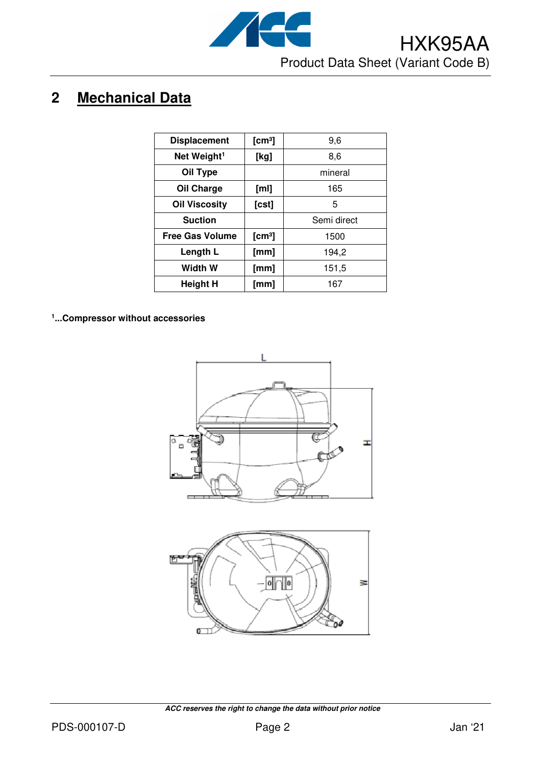

# **2 Mechanical Data**

| 9,6<br>[cm <sup>3</sup> ]<br><b>Displacement</b><br>Net Weight <sup>1</sup><br>[kg]<br>8,6<br>Oil Type<br>mineral<br>Oil Charge<br>165<br>[ml]<br><b>Oil Viscosity</b><br>[cst]<br>5<br><b>Suction</b><br>Semi direct<br><b>Free Gas Volume</b><br>1500<br>[cm <sup>3</sup> ]<br>Length L<br>[mm]<br>194,2<br>Width W<br>[mm]<br>151,5<br>167<br>Height H<br>[mm] |  |  |
|-------------------------------------------------------------------------------------------------------------------------------------------------------------------------------------------------------------------------------------------------------------------------------------------------------------------------------------------------------------------|--|--|
|                                                                                                                                                                                                                                                                                                                                                                   |  |  |
|                                                                                                                                                                                                                                                                                                                                                                   |  |  |
|                                                                                                                                                                                                                                                                                                                                                                   |  |  |
|                                                                                                                                                                                                                                                                                                                                                                   |  |  |
|                                                                                                                                                                                                                                                                                                                                                                   |  |  |
|                                                                                                                                                                                                                                                                                                                                                                   |  |  |
|                                                                                                                                                                                                                                                                                                                                                                   |  |  |
|                                                                                                                                                                                                                                                                                                                                                                   |  |  |
|                                                                                                                                                                                                                                                                                                                                                                   |  |  |
|                                                                                                                                                                                                                                                                                                                                                                   |  |  |

**1 ...Compressor without accessories**





 **ACC reserves the right to change the data without prior notice**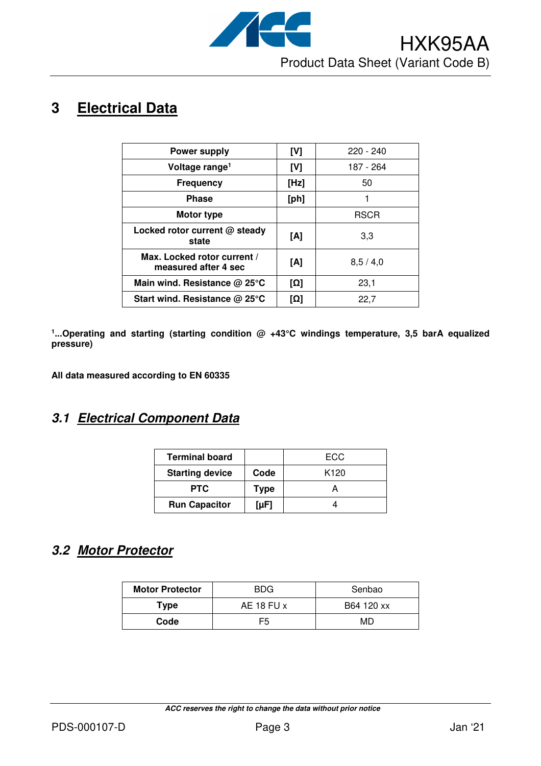

# **3 Electrical Data**

| <b>Power supply</b>                                 | [V]  | $220 - 240$ |
|-----------------------------------------------------|------|-------------|
| Voltage range <sup>1</sup>                          | [V]  | 187 - 264   |
| <b>Frequency</b>                                    | [Hz] | 50          |
| <b>Phase</b>                                        | [ph] |             |
| Motor type                                          |      | <b>RSCR</b> |
| Locked rotor current @ steady<br>state              | [A]  | 3,3         |
| Max. Locked rotor current /<br>measured after 4 sec | [A]  | 8,5/4,0     |
| Main wind. Resistance @ 25°C                        | [Ω]  | 23.1        |
| Start wind. Resistance $@$ 25 $°C$                  | [Ω]  | 22,7        |

<sup>1</sup>...Operating and starting (starting condition @ +43°C windings temperature, 3,5 barA equalized **pressure)** 

**All data measured according to EN 60335** 

#### **3.1 Electrical Component Data**

| <b>Terminal board</b>  |             | ECC.             |
|------------------------|-------------|------------------|
| <b>Starting device</b> | Code        | K <sub>120</sub> |
| <b>PTC</b>             | <b>Type</b> |                  |
| <b>Run Capacitor</b>   | [ $\mu$ F]  |                  |

## **3.2 Motor Protector**

| <b>Motor Protector</b> | <b>BDG</b> | Senbao     |  |
|------------------------|------------|------------|--|
| Type                   | AE 18 FU x | B64 120 xx |  |
| Code                   | ⊏5         | MD         |  |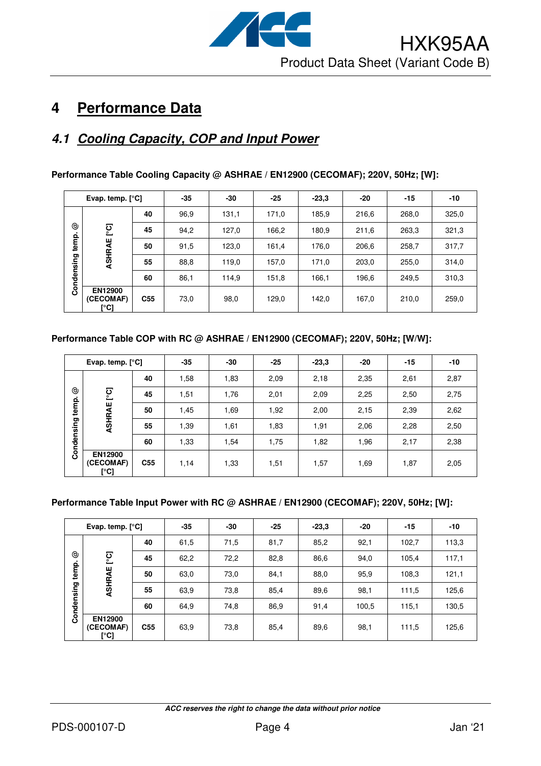

# **4 Performance Data**

## **4.1 Cooling Capacity, COP and Input Power**

|            | Evap. temp. $[°C]$                  |                 | $-35$ | -30   | $-25$ | $-23.3$ | -20   | $-15$ | $-10$ |
|------------|-------------------------------------|-----------------|-------|-------|-------|---------|-------|-------|-------|
|            |                                     | 40              | 96.9  | 131,1 | 171,0 | 185,9   | 216,6 | 268,0 | 325,0 |
| ල          | ုင္                                 | 45              | 94,2  | 127,0 | 166,2 | 180,9   | 211,6 | 263,3 | 321,3 |
| temp.      | ASHRAE                              | 50              | 91,5  | 123,0 | 161,4 | 176,0   | 206,6 | 258,7 | 317,7 |
| Condensing |                                     | 55              | 88,8  | 119,0 | 157.0 | 171,0   | 203,0 | 255,0 | 314,0 |
|            |                                     | 60              | 86,1  | 114,9 | 151,8 | 166,1   | 196,6 | 249,5 | 310,3 |
|            | <b>EN12900</b><br>(CECOMAF)<br>[°C] | C <sub>55</sub> | 73,0  | 98,0  | 129,0 | 142,0   | 167,0 | 210,0 | 259,0 |

**Performance Table Cooling Capacity @ ASHRAE / EN12900 (CECOMAF); 220V, 50Hz; [W]:** 

#### **Performance Table COP with RC @ ASHRAE / EN12900 (CECOMAF); 220V, 50Hz; [W/W]:**

|            | Evap. temp. $[°C]$                  |                 | $-35$ | $-30$ | $-25$ | $-23.3$ | $-20$ | $-15$ | $-10$ |
|------------|-------------------------------------|-----------------|-------|-------|-------|---------|-------|-------|-------|
|            |                                     | 40              | 1,58  | 1,83  | 2,09  | 2,18    | 2,35  | 2,61  | 2,87  |
| ☺          | ု့ငျ                                | 45              | 1,51  | 1,76  | 2,01  | 2,09    | 2,25  | 2,50  | 2,75  |
| temp.      | ASHRAE                              | 50              | 1,45  | 1,69  | 1,92  | 2,00    | 2,15  | 2,39  | 2,62  |
|            |                                     | 55              | 1,39  | 1,61  | 1,83  | 1,91    | 2,06  | 2,28  | 2,50  |
| Condensing |                                     | 60              | 1,33  | 1,54  | 1,75  | 1,82    | 1,96  | 2,17  | 2,38  |
|            | <b>EN12900</b><br>(CECOMAF)<br>[°C] | C <sub>55</sub> | 1,14  | 1,33  | 1,51  | 1,57    | 1,69  | 1,87  | 2,05  |

#### **Performance Table Input Power with RC @ ASHRAE / EN12900 (CECOMAF); 220V, 50Hz; [W]:**

|            | Evap. temp. $[°C]$                  |                 | $-35$ | -30  | $-25$ | $-23.3$ | -20   | $-15$ | -10   |
|------------|-------------------------------------|-----------------|-------|------|-------|---------|-------|-------|-------|
|            |                                     | 40              | 61,5  | 71,5 | 81,7  | 85,2    | 92,1  | 102,7 | 113,3 |
| ල          | ု့ငြ                                | 45              | 62,2  | 72,2 | 82,8  | 86,6    | 94,0  | 105,4 | 117,1 |
| temp.      | ASHRAE                              | 50              | 63,0  | 73,0 | 84,1  | 88,0    | 95,9  | 108,3 | 121,1 |
|            |                                     | 55              | 63,9  | 73,8 | 85.4  | 89,6    | 98,1  | 111,5 | 125,6 |
| Condensing |                                     | 60              | 64,9  | 74,8 | 86,9  | 91,4    | 100,5 | 115,1 | 130,5 |
|            | <b>EN12900</b><br>(CECOMAF)<br>[°C] | C <sub>55</sub> | 63,9  | 73,8 | 85,4  | 89,6    | 98,1  | 111,5 | 125,6 |